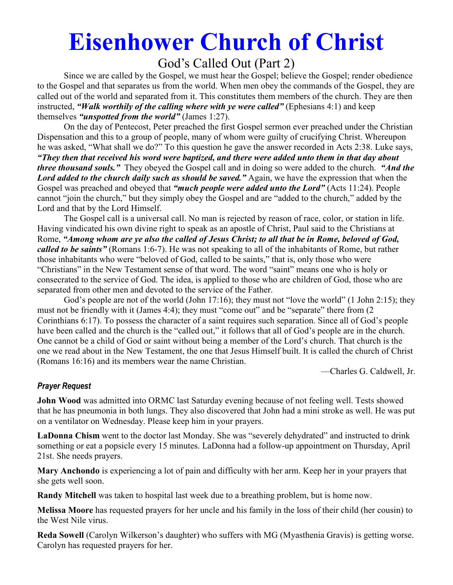# **Eisenhower Church of Christ**

# God's Called Out (Part 2)

 Since we are called by the Gospel, we must hear the Gospel; believe the Gospel; render obedience to the Gospel and that separates us from the world. When men obey the commands of the Gospel, they are called out of the world and separated from it. This constitutes them members of the church. They are then instructed, *"Walk worthily of the calling where with ye were called"* (Ephesians 4:1) and keep themselves *"unspotted from the world"* (James 1:27).

 On the day of Pentecost, Peter preached the first Gospel sermon ever preached under the Christian Dispensation and this to a group of people, many of whom were guilty of crucifying Christ. Whereupon he was asked, "What shall we do?" To this question he gave the answer recorded in Acts 2:38. Luke says, *"They then that received his word were baptized, and there were added unto them in that day about three thousand souls."* They obeyed the Gospel call and in doing so were added to the church. *"And the Lord added to the church daily such as should be saved."* Again, we have the expression that when the Gospel was preached and obeyed that *"much people were added unto the Lord"* (Acts 11:24). People cannot "join the church," but they simply obey the Gospel and are "added to the church," added by the Lord and that by the Lord Himself.

 The Gospel call is a universal call. No man is rejected by reason of race, color, or station in life. Having vindicated his own divine right to speak as an apostle of Christ, Paul said to the Christians at Rome, *"Among whom are ye also the called of Jesus Christ; to all that be in Rome, beloved of God, called to be saints"* (Romans 1:6-7). He was not speaking to all of the inhabitants of Rome, but rather those inhabitants who were "beloved of God, called to be saints," that is, only those who were "Christians" in the New Testament sense of that word. The word "saint" means one who is holy or consecrated to the service of God. The idea, is applied to those who are children of God, those who are separated from other men and devoted to the service of the Father.

God's people are not of the world (John 17:16); they must not "love the world" (1 John 2:15); they must not be friendly with it (James 4:4); they must "come out" and be "separate" there from (2 Corinthians 6:17). To possess the character of a saint requires such separation. Since all of God's people have been called and the church is the "called out," it follows that all of God's people are in the church. One cannot be a child of God or saint without being a member of the Lord's church. That church is the one we read about in the New Testament, the one that Jesus Himself built. It is called the church of Christ (Romans 16:16) and its members wear the name Christian.

—Charles G. Caldwell, Jr.

# *Prayer Request*

**John Wood** was admitted into ORMC last Saturday evening because of not feeling well. Tests showed that he has pneumonia in both lungs. They also discovered that John had a mini stroke as well. He was put on a ventilator on Wednesday. Please keep him in your prayers.

**LaDonna Chism** went to the doctor last Monday. She was "severely dehydrated" and instructed to drink something or eat a popsicle every 15 minutes. LaDonna had a follow-up appointment on Thursday, April 21st. She needs prayers.

**Mary Anchondo** is experiencing a lot of pain and difficulty with her arm. Keep her in your prayers that she gets well soon.

**Randy Mitchell** was taken to hospital last week due to a breathing problem, but is home now.

**Melissa Moore** has requested prayers for her uncle and his family in the loss of their child (her cousin) to the West Nile virus.

**Reda Sowell** (Carolyn Wilkerson's daughter) who suffers with MG (Myasthenia Gravis) is getting worse. Carolyn has requested prayers for her.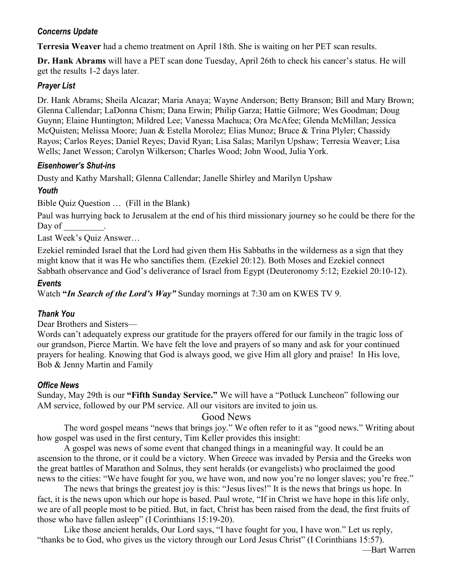# *Concerns Update*

**Terresia Weaver** had a chemo treatment on April 18th. She is waiting on her PET scan results.

**Dr. Hank Abrams** will have a PET scan done Tuesday, April 26th to check his cancer's status. He will get the results 1-2 days later.

#### *Prayer List*

Dr. Hank Abrams; Sheila Alcazar; Maria Anaya; Wayne Anderson; Betty Branson; Bill and Mary Brown; Glenna Callendar; LaDonna Chism; Dana Erwin; Philip Garza; Hattie Gilmore; Wes Goodman; Doug Guynn; Elaine Huntington; Mildred Lee; Vanessa Machuca; Ora McAfee; Glenda McMillan; Jessica McQuisten; Melissa Moore; Juan & Estella Morolez; Elias Munoz; Bruce & Trina Plyler; Chassidy Rayos; Carlos Reyes; Daniel Reyes; David Ryan; Lisa Salas; Marilyn Upshaw; Terresia Weaver; Lisa Wells; Janet Wesson; Carolyn Wilkerson; Charles Wood; John Wood, Julia York.

#### *Eisenhower's Shut-ins*

Dusty and Kathy Marshall; Glenna Callendar; Janelle Shirley and Marilyn Upshaw

# *Youth*

Bible Quiz Question … (Fill in the Blank)

Paul was hurrying back to Jerusalem at the end of his third missionary journey so he could be there for the Day of \_\_\_\_\_\_\_\_\_.

Last Week's Quiz Answer…

Ezekiel reminded Israel that the Lord had given them His Sabbaths in the wilderness as a sign that they might know that it was He who sanctifies them. (Ezekiel 20:12). Both Moses and Ezekiel connect Sabbath observance and God's deliverance of Israel from Egypt (Deuteronomy 5:12; Ezekiel 20:10-12).

#### *Events*

Watch **"***In Search of the Lord's Way"* Sunday mornings at 7:30 am on KWES TV 9.

# *Thank You*

Dear Brothers and Sisters—

Words can't adequately express our gratitude for the prayers offered for our family in the tragic loss of our grandson, Pierce Martin. We have felt the love and prayers of so many and ask for your continued prayers for healing. Knowing that God is always good, we give Him all glory and praise! In His love, Bob & Jenny Martin and Family

# *Office News*

Sunday, May 29th is our **"Fifth Sunday Service."** We will have a "Potluck Luncheon" following our AM service, followed by our PM service. All our visitors are invited to join us.

# Good News

 The word gospel means "news that brings joy." We often refer to it as "good news." Writing about how gospel was used in the first century, Tim Keller provides this insight:

 A gospel was news of some event that changed things in a meaningful way. It could be an ascension to the throne, or it could be a victory. When Greece was invaded by Persia and the Greeks won the great battles of Marathon and Solnus, they sent heralds (or evangelists) who proclaimed the good news to the cities: "We have fought for you, we have won, and now you're no longer slaves; you're free."

 The news that brings the greatest joy is this: "Jesus lives!" It is the news that brings us hope. In fact, it is the news upon which our hope is based. Paul wrote, "If in Christ we have hope in this life only, we are of all people most to be pitied. But, in fact, Christ has been raised from the dead, the first fruits of those who have fallen asleep" (I Corinthians 15:19-20).

 Like those ancient heralds, Our Lord says, "I have fought for you, I have won." Let us reply, "thanks be to God, who gives us the victory through our Lord Jesus Christ" (I Corinthians 15:57).